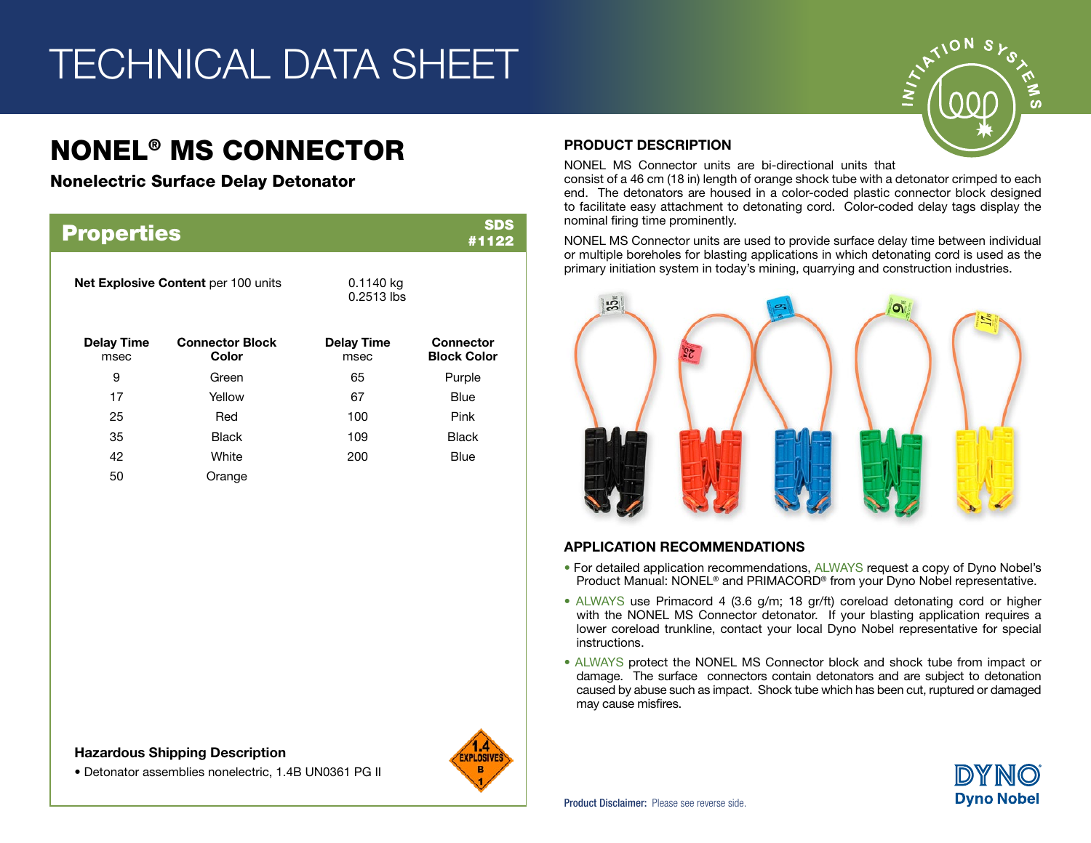# TECHNICAL DATA SHEET

# NONEL® MS CONNECTOR

Nonelectric Surface Delay Detonator

| <b>Properties</b>                   |                                 |                             | <b>SDS</b><br>#1122                    |
|-------------------------------------|---------------------------------|-----------------------------|----------------------------------------|
| Net Explosive Content per 100 units |                                 | $0.1140$ kg<br>$0.2513$ lbs |                                        |
| <b>Delay Time</b><br>msec           | <b>Connector Block</b><br>Color | <b>Delay Time</b><br>msec   | <b>Connector</b><br><b>Block Color</b> |
| 9                                   | Green                           | 65                          | Purple                                 |
| 17                                  | Yellow                          | 67                          | Blue                                   |
| 25                                  | Red                             | 100                         | Pink                                   |
| 35                                  | <b>Black</b>                    | 109                         | <b>Black</b>                           |
| 42                                  | White                           | 200                         | Blue                                   |
| 50                                  | Orange                          |                             |                                        |

#### Hazardous Shipping Description

• Detonator assemblies nonelectric, 1.4B UN0361 PG II



#### PRODUCT DESCRIPTION

NONEL MS Connector units are bi-directional units that

consist of a 46 cm (18 in) length of orange shock tube with a detonator crimped to each end. The detonators are housed in a color-coded plastic connector block designed to facilitate easy attachment to detonating cord. Color-coded delay tags display the nominal firing time prominently.

NONEL MS Connector units are used to provide surface delay time between individual or multiple boreholes for blasting applications in which detonating cord is used as the primary initiation system in today's mining, quarrying and construction industries.



#### APPLICATION RECOMMENDATIONS

- For detailed application recommendations, ALWAYS request a copy of Dyno Nobel's Product Manual: NONEL® and PRIMACORD® from your Dyno Nobel representative.
- ALWAYS use Primacord 4 (3.6 g/m; 18 gr/ft) coreload detonating cord or higher with the NONEL MS Connector detonator. If your blasting application requires a lower coreload trunkline, contact your local Dyno Nobel representative for special instructions.
- ALWAYS protect the NONEL MS Connector block and shock tube from impact or damage. The surface connectors contain detonators and are subject to detonation caused by abuse such as impact. Shock tube which has been cut, ruptured or damaged may cause misfires.